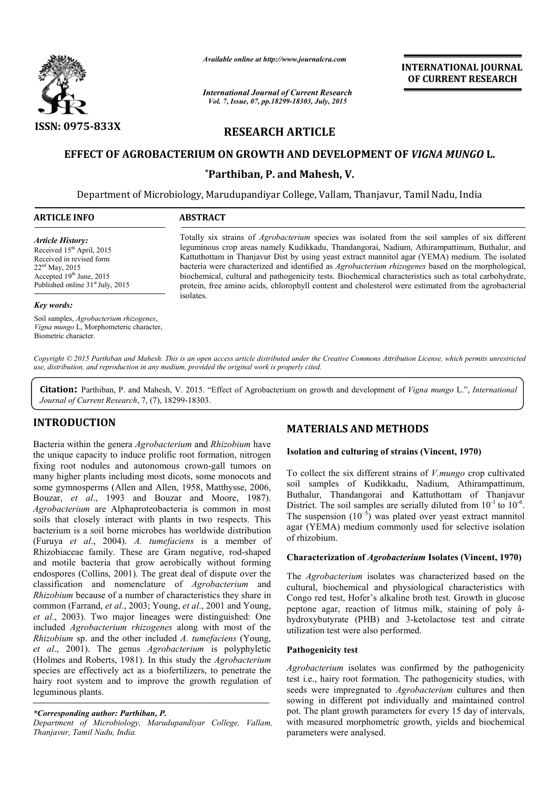

*Available online at http://www.journalcra.com*

# RESEARCH ARTICLE

# EFFECT OF AGROBACTERIUM ON GROWTH AND DEVELOPMENT OF *VIGNA MUNGO* L.

|                                                                                                                                                                                                                                                                                                                                                                                                                                                                                               | лтините опине иг пир.// www.journaicra.com<br><b>International Journal of Current Research</b>   |                                                    | <b>INTERNATIONAL JOURNAL</b><br>OF CURRENT RESEARCH                                                                                                                                                                                                                                                                                                                                                                                                                                                                                                                                                                                |
|-----------------------------------------------------------------------------------------------------------------------------------------------------------------------------------------------------------------------------------------------------------------------------------------------------------------------------------------------------------------------------------------------------------------------------------------------------------------------------------------------|--------------------------------------------------------------------------------------------------|----------------------------------------------------|------------------------------------------------------------------------------------------------------------------------------------------------------------------------------------------------------------------------------------------------------------------------------------------------------------------------------------------------------------------------------------------------------------------------------------------------------------------------------------------------------------------------------------------------------------------------------------------------------------------------------------|
|                                                                                                                                                                                                                                                                                                                                                                                                                                                                                               | Vol. 7, Issue, 07, pp.18299-18303, July, 2015                                                    |                                                    |                                                                                                                                                                                                                                                                                                                                                                                                                                                                                                                                                                                                                                    |
| ISSN: 0975-833X                                                                                                                                                                                                                                                                                                                                                                                                                                                                               |                                                                                                  | <b>RESEARCH ARTICLE</b>                            |                                                                                                                                                                                                                                                                                                                                                                                                                                                                                                                                                                                                                                    |
|                                                                                                                                                                                                                                                                                                                                                                                                                                                                                               | EFFECT OF AGROBACTERIUM ON GROWTH AND DEVELOPMENT OF VIGNA MUNGO L.                              |                                                    |                                                                                                                                                                                                                                                                                                                                                                                                                                                                                                                                                                                                                                    |
|                                                                                                                                                                                                                                                                                                                                                                                                                                                                                               |                                                                                                  | *Parthiban, P. and Mahesh, V.                      |                                                                                                                                                                                                                                                                                                                                                                                                                                                                                                                                                                                                                                    |
|                                                                                                                                                                                                                                                                                                                                                                                                                                                                                               | Department of Microbiology, Marudupandiyar College, Vallam, Thanjavur, Tamil Nadu, India         |                                                    |                                                                                                                                                                                                                                                                                                                                                                                                                                                                                                                                                                                                                                    |
| <b>ARTICLE INFO</b>                                                                                                                                                                                                                                                                                                                                                                                                                                                                           | <b>ABSTRACT</b>                                                                                  |                                                    |                                                                                                                                                                                                                                                                                                                                                                                                                                                                                                                                                                                                                                    |
| <b>Article History:</b><br>Received 15 <sup>th</sup> April, 2015<br>Received in revised form<br>22 <sup>nd</sup> May, 2015<br>Accepted 19th June, 2015<br>Published online 31 <sup>st</sup> July, 2015                                                                                                                                                                                                                                                                                        |                                                                                                  |                                                    | Totally six strains of <i>Agrobacterium</i> species was isolated from the soil samples of six different<br>leguminous crop areas namely Kudikkadu, Thandangorai, Nadium, Athirampattinum, Buthalur, and<br>Kattuthottam in Thanjavur Dist by using yeast extract mannitol agar (YEMA) medium. The isolated<br>bacteria were characterized and identified as Agrobacterium rhizogenes based on the morphological,<br>biochemical, cultural and pathogenicity tests. Biochemical characteristics such as total carbohydrate,<br>protein, free amino acids, chlorophyll content and cholesterol were estimated from the agrobacterial |
| <b>Key words:</b>                                                                                                                                                                                                                                                                                                                                                                                                                                                                             | isolates.                                                                                        |                                                    |                                                                                                                                                                                                                                                                                                                                                                                                                                                                                                                                                                                                                                    |
| Soil samples, Agrobacterium rhizogenes,<br>Vigna mungo L, Morphometeric character,<br>Biometric character.                                                                                                                                                                                                                                                                                                                                                                                    |                                                                                                  |                                                    |                                                                                                                                                                                                                                                                                                                                                                                                                                                                                                                                                                                                                                    |
|                                                                                                                                                                                                                                                                                                                                                                                                                                                                                               | use, distribution, and reproduction in any medium, provided the original work is properly cited. |                                                    | Copyright © 2015 Parthiban and Mahesh. This is an open access article distributed under the Creative Commons Attribution License, which permits unrestricted<br>Citation: Parthiban, P. and Mahesh, V. 2015. "Effect of Agrobacterium on growth and development of Vigna mungo L.", International                                                                                                                                                                                                                                                                                                                                  |
| Journal of Current Research, 7, (7), 18299-18303.                                                                                                                                                                                                                                                                                                                                                                                                                                             |                                                                                                  |                                                    |                                                                                                                                                                                                                                                                                                                                                                                                                                                                                                                                                                                                                                    |
| <b>INTRODUCTION</b>                                                                                                                                                                                                                                                                                                                                                                                                                                                                           |                                                                                                  | <b>MATERIALS AND METHODS</b>                       |                                                                                                                                                                                                                                                                                                                                                                                                                                                                                                                                                                                                                                    |
| Bacteria within the genera Agrobacterium and Rhizobium have<br>the unique capacity to induce prolific root formation, nitrogen                                                                                                                                                                                                                                                                                                                                                                |                                                                                                  | Isolation and culturing of strains (Vincent, 1970) |                                                                                                                                                                                                                                                                                                                                                                                                                                                                                                                                                                                                                                    |
| fixing root nodules and autonomous crown-gall tumors on<br>many higher plants including most dicots, some monocots and<br>some gymnosperms (Allen and Allen, 1958, Matthysse, 2006,<br>Bouzar, et al., 1993 and Bouzar and Moore, 1987).<br>Agrobacterium are Alphaproteobacteria is common in most<br>soils that closely interact with plants in two respects. This<br>bacterium is a soil borne microbes has worldwide distribution<br>(Furuya et al., 2004). A. tumefaciens is a member of |                                                                                                  | of rhizobium.                                      | To collect the six different strains of <i>V.mungo</i> crop cultivated<br>soil samples of Kudikkadu, Nadium, Athirampattinum,<br>Buthalur, Thandangorai and Kattuthottam of Thanjavur<br>District. The soil samples are serially diluted from $10^{-1}$ to $10^{-6}$ .<br>The suspension $(10^{-5})$ was plated over yeast extract mannitol<br>agar (YEMA) medium commonly used for selective isolation                                                                                                                                                                                                                            |
| Rhizobiaceae family. These are Gram negative, rod-shaped<br>and motile bacteria that grow aerobically without forming                                                                                                                                                                                                                                                                                                                                                                         |                                                                                                  |                                                    | <b>Characterization of Agrobacterium Isolates (Vincent, 1970)</b>                                                                                                                                                                                                                                                                                                                                                                                                                                                                                                                                                                  |
| endospores (Collins, 2001). The great deal of dispute over the<br>classification and nomenclature of Agrobacterium and<br>Rhizobium because of a number of characteristics they share in<br>common (Farrand, et al., 2003; Young, et al., 2001 and Young,<br>et al., 2003). Two major lineages were distinguished: One<br>included <i>Agrobacterium rhizogenes</i> along with most of the<br>Rhizobium sp. and the other included A. tumefaciens (Young,                                      |                                                                                                  | utilization test were also performed.              | The Agrobacterium isolates was characterized based on the<br>cultural, biochemical and physiological characteristics with<br>Congo red test, Hofer's alkaline broth test. Growth in glucose<br>peptone agar, reaction of litmus milk, staining of poly â-<br>hydroxybutyrate (PHB) and 3-ketolactose test and citrate                                                                                                                                                                                                                                                                                                              |
| et al., 2001). The genus Agrobacterium is polyphyletic                                                                                                                                                                                                                                                                                                                                                                                                                                        |                                                                                                  | <b>Pathogenicity test</b>                          |                                                                                                                                                                                                                                                                                                                                                                                                                                                                                                                                                                                                                                    |
| (Holmes and Roberts, 1981). In this study the Agrobacterium<br>species are effectively act as a biofertilizers, to penetrate the<br>hairy root system and to improve the growth regulation of<br>leguminous plants.                                                                                                                                                                                                                                                                           |                                                                                                  |                                                    | Agrobacterium isolates was confirmed by the pathogenicity<br>test i.e., hairy root formation. The pathogenicity studies, with<br>seeds were impregnated to Agrobacterium cultures and then<br>sowing in different pot individually and maintained control                                                                                                                                                                                                                                                                                                                                                                          |
| *Corresponding author: Parthiban, P.<br>Department of Microbiology, Marudupandiyar College, Vallam,                                                                                                                                                                                                                                                                                                                                                                                           |                                                                                                  |                                                    | pot. The plant growth parameters for every 15 day of intervals,<br>with measured morphometric growth, yields and biochemical                                                                                                                                                                                                                                                                                                                                                                                                                                                                                                       |

# INTRODUCTION

### *\*Corresponding author: Parthiban, P.*

# MATERIALS AND METHODS METHODS

### Isolation and culturing of strains (Vincent, 1970)

#### Characterization of *Agrobacterium* Isolates (Vincent, 1970)

### Pathogenicity test

*Agrobacterium* isolates was confirmed by the pathogenicity test i.e., hairy root formation. The pathogenicity studies, with seeds were impregnated to *Agrobacterium* cultures and then sowing in different pot individually and maintained control pot. The plant growth parameters for every 15 day of intervals, with measured morphometric growth, yields and biochemical parameters were analysed.

*Department of Microbiology, Marudupandiyar College, Vallam, Thanjavur, Tamil Nadu, India.*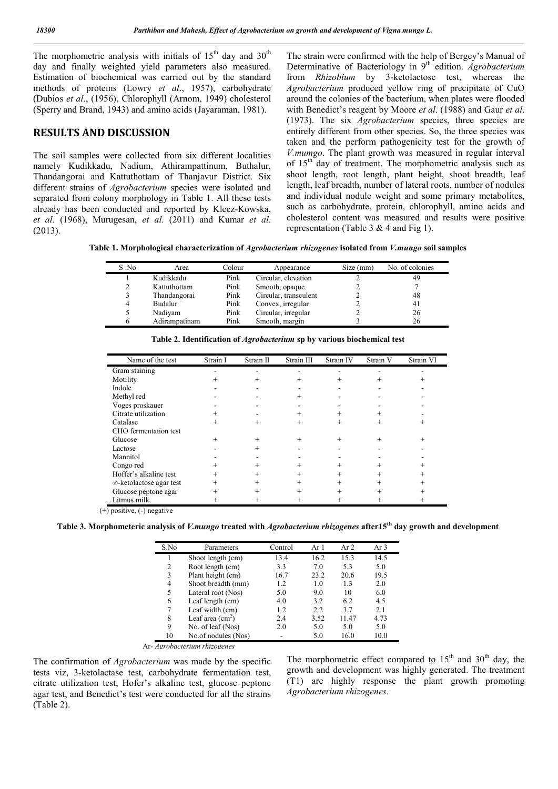The morphometric analysis with initials of  $15<sup>th</sup>$  day and  $30<sup>th</sup>$ day and finally weighted yield parameters also measured. Estimation of biochemical was carried out by the standard methods of proteins (Lowry *et al*., 1957), carbohydrate (Dubios *et al*., (1956), Chlorophyll (Arnom, 1949) cholesterol (Sperry and Brand, 1943) and amino acids (Jayaraman, 1981).

### RESULTS AND DISCUSSION

The soil samples were collected from six different localities namely Kudikkadu, Nadium, Athirampattinum, Buthalur, Thandangorai and Kattuthottam of Thanjavur District. Six different strains of *Agrobacterium* species were isolated and separated from colony morphology in Table 1. All these tests already has been conducted and reported by Klecz-Kowska, *et al*. (1968), Murugesan, *et al.* (2011) and Kumar *et al*. (2013).

The strain were confirmed with the help of Bergey's Manual of Determinative of Bacteriology in 9<sup>th</sup> edition. *Agrobacterium* from *Rhizobium* by 3-ketolactose test, whereas the *Agrobacterium* produced yellow ring of precipitate of CuO around the colonies of the bacterium, when plates were flooded with Benedict's reagent by Moore *et al*. (1988) and Gaur *et al*. (1973). The six *Agrobacterium* species, three species are entirely different from other species. So, the three species was taken and the perform pathogenicity test for the growth of *V.mumgo*. The plant growth was measured in regular interval of 15<sup>th</sup> day of treatment. The morphometric analysis such as shoot length, root length, plant height, shoot breadth, leaf length, leaf breadth, number of lateral roots, number of nodules and individual nodule weight and some primary metabolites, such as carbohydrate, protein, chlorophyll, amino acids and cholesterol content was measured and results were positive representation (Table 3 & 4 and Fig 1).

Table 1. Morphological characterization of *Agrobacterium rhizogenes* isolated from *V.mungo* soil samples

| S No | Area          | Colour | Appearance            | Size (mm) | No. of colonies |
|------|---------------|--------|-----------------------|-----------|-----------------|
|      | Kudikkadu     | Pink   | Circular, elevation   |           | 49              |
| າ    | Kattuthottam  | Pink   | Smooth, opaque        |           |                 |
|      | Thandangorai  | Pink   | Circular, transculent |           | 48              |
| 4    | Budalur       | Pink   | Convex, irregular     |           | 4 <sub>1</sub>  |
|      | Nadiyam       | Pink   | Circular, irregular   |           | 26              |
| h    | Adirampatinam | Pink   | Smooth, margin        |           | 26              |

| Name of the test        | Strain I | Strain II | Strain III     | Strain IV | Strain V | Strain VI |
|-------------------------|----------|-----------|----------------|-----------|----------|-----------|
| Gram staining           |          |           |                |           |          |           |
| Motility                |          |           |                |           |          |           |
| Indole                  |          |           |                |           |          |           |
| Methyl red              |          |           |                |           |          |           |
| Voges proskauer         |          |           |                |           |          |           |
| Citrate utilization     |          |           |                |           |          |           |
| Catalase                | $^{+}$   |           | $^+$           | $^{+}$    | $^{+}$   |           |
| CHO fermentation test   |          |           |                |           |          |           |
| Glucose                 | $^{+}$   |           |                | $^{+}$    | $^{+}$   |           |
| Lactose                 |          |           |                |           |          |           |
| Mannitol                |          |           |                |           |          |           |
| Congo red               |          |           |                |           |          |           |
| Hoffer's alkaline test  | $^{+}$   |           | $^+$           | $^{+}$    |          |           |
| ∞-ketolactose agar test |          |           |                | $^{+}$    |          |           |
| Glucose peptone agar    |          |           | $\overline{+}$ | $^{+}$    |          |           |
| Litmus milk             |          |           |                |           |          |           |

Table 2. Identification of *Agrobacterium* sp by various biochemical test

(+) positive, (-) negative

Table 3. Morphometeric analysis of *V.mungo* treated with *Agrobacterium rhizogenes* after15th day growth and development

| S.No           | Parameters          | Control | Ar 1 | Ar $2$ | Ar 3 |
|----------------|---------------------|---------|------|--------|------|
|                | Shoot length (cm)   | 13.4    | 16.2 | 15.3   | 14.5 |
| $\overline{c}$ | Root length (cm)    | 3.3     | 7.0  | 5.3    | 5.0  |
| 3              | Plant height (cm)   | 16.7    | 23.2 | 20.6   | 19.5 |
| 4              | Shoot breadth (mm)  | 1.2     | 1.0  | 1.3    | 2.0  |
| 5              | Lateral root (Nos)  | 5.0     | 9.0  | 10     | 6.0  |
| 6              | Leaf length (cm)    | 4.0     | 3.2  | 6.2    | 4.5  |
| 7              | Leaf width (cm)     | 1.2     | 2.2  | 3.7    | 2.1  |
| 8              | Leaf area $(cm2)$   | 2.4     | 3.52 | 11.47  | 4.73 |
| 9              | No. of leaf (Nos)   | 2.0     | 5.0  | 5.0    | 5.0  |
| 10             | No.of nodules (Nos) |         | 5.0  | 16.0   | 10.0 |

Ar*- Agrobacterium rhizogenes*

The confirmation of *Agrobacterium* was made by the specific tests viz, 3-ketolactase test, carbohydrate fermentation test, citrate utilization test, Hofer's alkaline test, glucose peptone agar test, and Benedict's test were conducted for all the strains (Table 2).

The morphometric effect compared to  $15<sup>th</sup>$  and  $30<sup>th</sup>$  day, the growth and development was highly generated. The treatment (T1) are highly response the plant growth promoting *Agrobacterium rhizogenes*.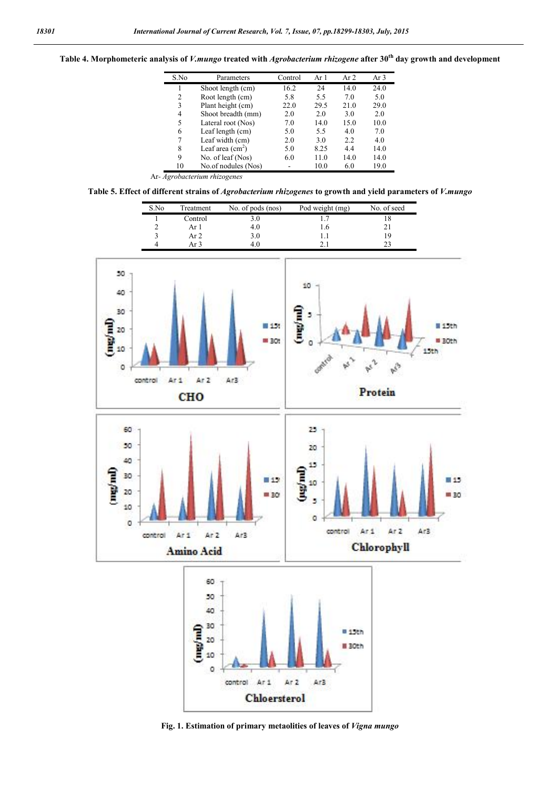### Table 4. Morphometeric analysis of *V.mungo* treated with *Agrobacterium rhizogene* after 30th day growth and development

| S.No | Parameters                  | Control | Ar $1$ | Ar $2$ | Ar 3 |
|------|-----------------------------|---------|--------|--------|------|
|      | Shoot length (cm)           | 16.2    | 24     | 14.0   | 24.0 |
| 2    | Root length (cm)            | 5.8     | 5.5    | 7.0    | 5.0  |
| 3    | Plant height (cm)           | 22.0    | 29.5   | 21.0   | 29.0 |
| 4    | Shoot breadth (mm)          | 2.0     | 2.0    | 3.0    | 2.0  |
| 5    | Lateral root (Nos)          | 7.0     | 14.0   | 15.0   | 10.0 |
| 6    | Leaf length (cm)            | 5.0     | 5.5    | 4.0    | 7.0  |
| 7    | Leaf width (cm)             | 2.0     | 3.0    | 2.2    | 4.0  |
| 8    | Leaf area $(cm2)$           | 5.0     | 8.25   | 4.4    | 14.0 |
| 9    | No. of leaf (Nos)           | 6.0     | 11.0   | 14.0   | 14.0 |
| 10   | No.of nodules (Nos)         |         | 10.0   | 6.0    | 19.0 |
|      | Ar-Agrobacterium rhizogenes |         |        |        |      |

Table 5. Effect of different strains of *Agrobacterium rhizogenes* to growth and yield parameters of *V.mungo*

| S.No | Treatment | No. of pods (nos) | Pod weight (mg) | No. of seed |
|------|-----------|-------------------|-----------------|-------------|
|      | Control   | 3.0               |                 |             |
|      | Ar I      | 4.0               |                 |             |
|      | Ar $2$    | 3.0               |                 |             |
|      | Ar 3      | 4 I               |                 |             |



Fig. 1. Estimation of primary metaolities of leaves of *Vigna mungo*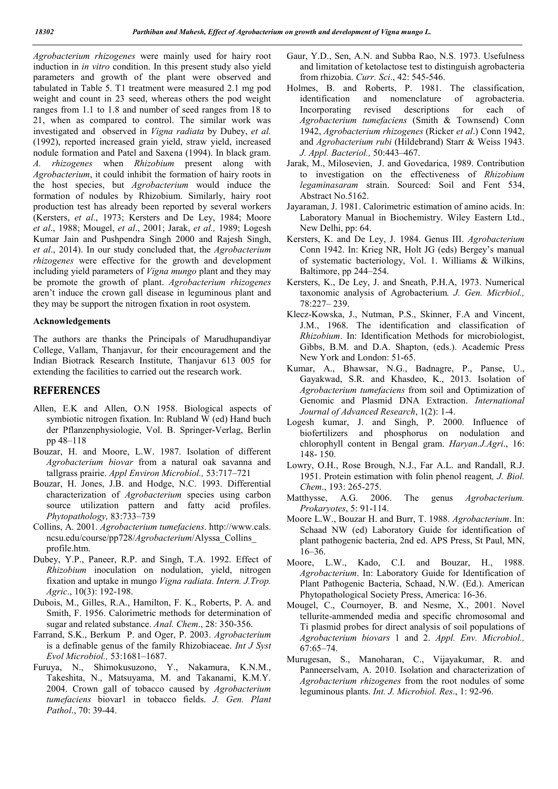*Agrobacterium rhizogenes* were mainly used for hairy root induction in *in vitro* condition. In this present study also yield parameters and growth of the plant were observed and tabulated in Table 5. T1 treatment were measured 2.1 mg pod weight and count in 23 seed, whereas others the pod weight ranges from 1.1 to 1.8 and number of seed ranges from 18 to 21, when as compared to control. The similar work was investigated and observed in *Vigna radiata* by Dubey, *et al.* (1992), reported increased grain yield, straw yield, increased nodule formation and Patel and Saxena (1994). In black gram. *A. rhizogenes* when *Rhizobium* present along with *Agrobacterium*, it could inhibit the formation of hairy roots in the host species, but *Agrobacterium* would induce the formation of nodules by Rhizobium. Similarly, hairy root production test has already been reported by several workers (Kersters, *et al*., 1973; Kersters and De Ley, 1984; Moore *et al*., 1988; Mougel, *et al*., 2001; Jarak, *et al.,* 1989; Logesh Kumar Jain and Pushpendra Singh 2000 and Rajesh Singh, *et al*., 2014). In our study concluded that, the *Agrobacterium rhizogenes* were effective for the growth and development including yield parameters of *Vigna mungo* plant and they may be promote the growth of plant. *Agrobacterium rhizogenes* aren't induce the crown gall disease in leguminous plant and they may be support the nitrogen fixation in root osystem.

#### Acknowledgements

The authors are thanks the Principals of Marudhupandiyar College, Vallam, Thanjavur, for their encouragement and the Indian Biotrack Research Institute, Thanjavur 613 005 for extending the facilities to carried out the research work.

# REFERENCES

- Allen, E.K and Allen, O.N 1958. Biological aspects of symbiotic nitrogen fixation. In: Rubland W (ed) Hand buch der Pflanzenphysiologie, Vol. B. Springer-Verlag, Berlin pp 48–118
- Bouzar, H. and Moore, L.W. 1987. Isolation of different *Agrobacterium biovar* from a natural oak savanna and tallgrass prairie. *Appl Environ Microbiol.,* 53:717–721
- Bouzar, H. Jones, J.B. and Hodge, N.C. 1993. Differential characterization of *Agrobacterium* species using carbon source utilization pattern and fatty acid profiles. *Phytopathology,* 83:733–739
- Collins, A. 2001. *Agrobacterium tumefaciens*. http://www.cals. ncsu.edu/course/pp728/*Agrobacterium*/Alyssa\_Collins\_ profile.htm.
- Dubey, Y.P., Paneer, R.P. and Singh, T.A. 1992. Effect of *Rhizobium* inoculation on nodulation, yield, nitrogen fixation and uptake in mungo *Vigna radiata*. *Intern. J.Trop. Agric*., 10(3): 192-198.
- Dubois, M., Gilles, R.A., Hamilton, F. K., Roberts, P. A. and Smith, F. 1956. Calorimetric methods for determination of sugar and related substance. *Anal. Chem*., 28: 350-356.
- Farrand, S.K., Berkum P. and Oger, P. 2003. *Agrobacterium* is a definable genus of the family Rhizobiaceae. *Int J Syst Evol Microbiol.,* 53:1681–1687.
- Furuya, N., Shimokusuzono, Y., Nakamura, K.N.M., Takeshita, N., Matsuyama, M. and Takanami, K.M.Y. 2004. Crown gall of tobacco caused by *Agrobacterium tumefaciens* biovar1 in tobacco fields. *J. Gen. Plant Pathol*., 70: 39-44.
- Gaur, Y.D., Sen, A.N. and Subba Rao, N.S. 1973. Usefulness and limitation of ketolactose test to distinguish agrobacteria from rhizobia. *Curr. Sci*., 42: 545-546.
- Holmes, B. and Roberts, P. 1981. The classification, identification and nomenclature of agrobacteria. Incorporating revised descriptions for each of *Agrobacterium tumefaciens* (Smith & Townsend) Conn 1942, *Agrobacterium rhizogenes* (Ricker *et al*.) Conn 1942, and *Agrobacterium rubi* (Hildebrand) Starr & Weiss 1943. *J. Appl. Bacteriol.,* 50:443–467.
- Jarak, M., Milosevien, J. and Govedarica, 1989. Contribution to investigation on the effectiveness of *Rhizobium legaminasaram* strain. Sourced: Soil and Fent 534, Abstract No.5162.
- Jayaraman, J. 1981. Calorimetric estimation of amino acids. In: Laboratory Manual in Biochemistry. Wiley Eastern Ltd., New Delhi, pp: 64.
- Kersters, K. and De Ley, J. 1984. Genus III. *Agrobacterium* Conn 1942. In: Krieg NR, Holt JG (eds) Bergey's manual of systematic bacteriology, Vol. 1. Williams & Wilkins, Baltimore, pp 244–254.
- Kersters, K., De Ley, J. and Sneath, P.H.A, 1973. Numerical taxonomic analysis of Agrobacterium*. J. Gen. Micrbiol.,* 78:227– 239.
- Klecz-Kowska, J., Nutman, P.S., Skinner, F.A and Vincent, J.M., 1968. The identification and classification of *Rhizobium*. In: Identification Methods for microbiologist, Gibbs, B.M. and D.A. Shapton, (eds.). Academic Press New York and London: 51-65.
- Kumar, A., Bhawsar, N.G., Badnagre, P., Panse, U., Gayakwad, S.R. and Khasdeo, K., 2013. Isolation of *Agrobacterium tumefaciens* from soil and Optimization of Genomic and Plasmid DNA Extraction. *International Journal of Advanced Research*, 1(2): 1-4.
- Logesh kumar, J. and Singh, P. 2000. Influence of biofertilizers and phosphorus on nodulation and chlorophyll content in Bengal gram. *Haryan.J.Agri*., 16: 148- 150.
- Lowry, O.H., Rose Brough, N.J., Far A.L. and Randall, R.J. 1951. Protein estimation with folin phenol reagent*, J. Biol. Chem*., 193: 265-275.
- Matthysse, A.G. 2006. The genus *Agrobacterium. Prokaryotes*, 5: 91-114.
- Moore L.W., Bouzar H. and Burr, T. 1988. *Agrobacterium*. In: Schaad NW (ed) Laboratory Guide for identification of plant pathogenic bacteria, 2nd ed. APS Press, St Paul, MN, 16–36.
- Moore, L.W., Kado, C.I. and Bouzar, H., 1988. *Agrobacterium*. In: Laboratory Guide for Identification of Plant Pathogenic Bacteria, Schaad, N.W. (Ed.). American Phytopathological Society Press, America: 16-36.
- Mougel, C., Cournoyer, B. and Nesme, X., 2001. Novel tellurite-ammended media and specific chromosomal and Ti plasmid probes for direct analysis of soil populations of *Agrobacterium biovars* 1 and 2. *Appl. Env. Microbiol.,* 67:65–74.
- Murugesan, S., Manoharan, C., Vijayakumar, R. and Panneerselvam, A. 2010. Isolation and characterization of *Agrobacterium rhizogenes* from the root nodules of some leguminous plants. *Int. J. Microbiol. Res*., 1: 92-96.